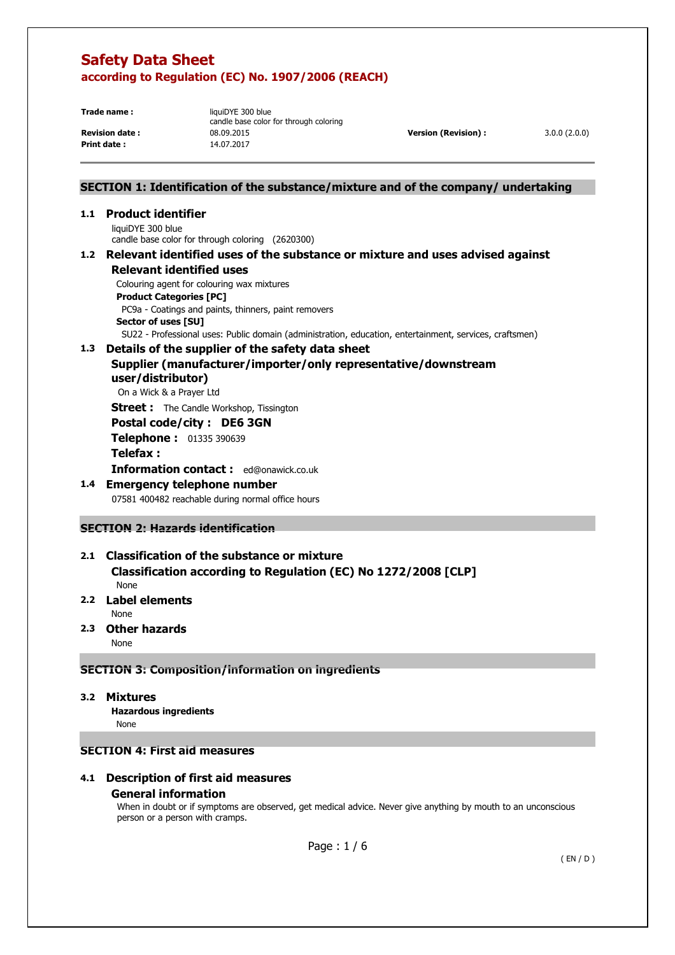**Print date :** 14.07.2017

**Trade name:** liquiDYE 300 blue candle base color for through coloring **Revision date :** 08.09.2015 **Version (Revision) :** 3.0.0 (2.0.0)

## **SECTION 1: Identification of the substance/mixture and of the company/ undertaking**

# **1.1 Product identifier**

liquiDYE 300 blue candle base color for through coloring (2620300)

#### **1.2 Relevant identified uses of the substance or mixture and uses advised against Relevant identified uses**

Colouring agent for colouring wax mixtures

**Product Categories [PC]** 

 PC9a - Coatings and paints, thinners, paint removers **Sector of uses [SU]** 

SU22 - Professional uses: Public domain (administration, education, entertainment, services, craftsmen)

## **1.3 Details of the supplier of the safety data sheet**

## **Supplier (manufacturer/importer/only representative/downstream user/distributor)**

On a Wick & a Prayer Ltd

**Street :** The Candle Workshop, Tissington

#### **Postal code/city : DE6 3GN**

**Telephone :** 01335 390639

# **Telefax :**

**Information contact :** ed@onawick.co.uk

# **1.4 Emergency telephone number**

07581 400482 reachable during normal office hours

## **SECTION 2: Hazards identification**

# **2.1 Classification of the substance or mixture Classification according to Regulation (EC) No 1272/2008 [CLP]**

None

## **2.2 Label elements**

None

**2.3 Other hazards** 

None

## **SECTION 3: Composition/information on ingredients**

**3.2 Mixtures** 

 **Hazardous ingredients** None

# **SECTION 4: First aid measures**

## **4.1 Description of first aid measures General information**

When in doubt or if symptoms are observed, get medical advice. Never give anything by mouth to an unconscious person or a person with cramps.

Page : 1 / 6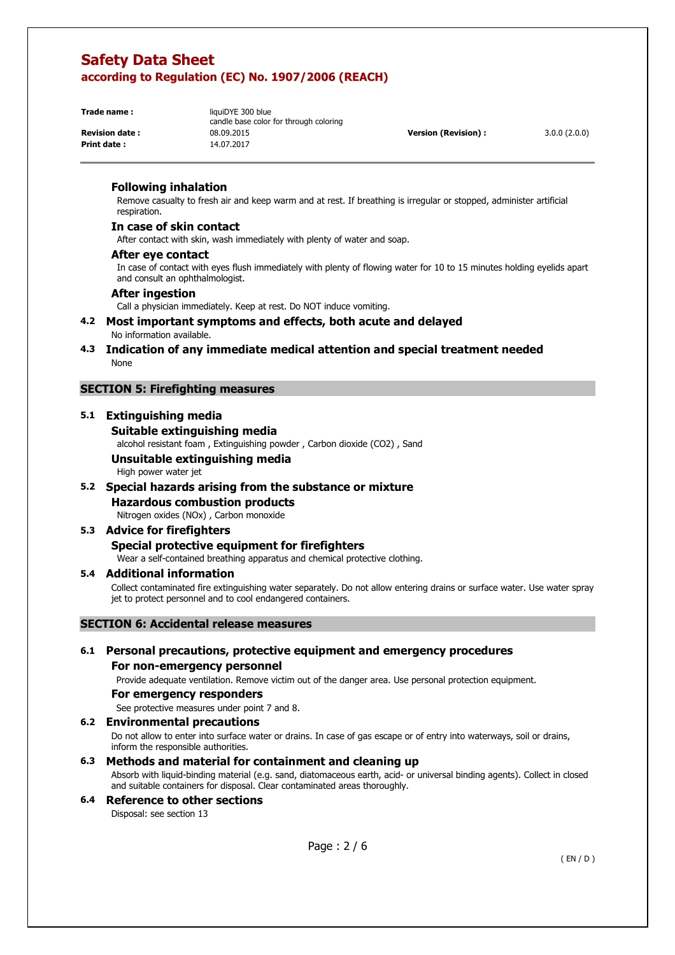**Print date :** 14.07.2017

**Trade name:** liquiDYE 300 blue candle base color for through coloring **Revision date :** 08.09.2015 **Version (Revision) :** 3.0.0 (2.0.0)

#### **Following inhalation**

Remove casualty to fresh air and keep warm and at rest. If breathing is irregular or stopped, administer artificial respiration.

#### **In case of skin contact**

After contact with skin, wash immediately with plenty of water and soap.

#### **After eye contact**

In case of contact with eyes flush immediately with plenty of flowing water for 10 to 15 minutes holding eyelids apart and consult an ophthalmologist.

#### **After ingestion**

Call a physician immediately. Keep at rest. Do NOT induce vomiting.

#### **4.2 Most important symptoms and effects, both acute and delayed**  No information available.

**4.3 Indication of any immediate medical attention and special treatment needed**  None

#### **SECTION 5: Firefighting measures**

## **5.1 Extinguishing media**

#### **Suitable extinguishing media**

alcohol resistant foam , Extinguishing powder , Carbon dioxide (CO2) , Sand

## **Unsuitable extinguishing media**

High power water jet

#### **5.2 Special hazards arising from the substance or mixture**

# **Hazardous combustion products**

Nitrogen oxides (NOx) , Carbon monoxide

#### **5.3 Advice for firefighters Special protective equipment for firefighters**

Wear a self-contained breathing apparatus and chemical protective clothing.

#### **5.4 Additional information**

Collect contaminated fire extinguishing water separately. Do not allow entering drains or surface water. Use water spray jet to protect personnel and to cool endangered containers.

#### **SECTION 6: Accidental release measures**

## **6.1 Personal precautions, protective equipment and emergency procedures For non-emergency personnel**

Provide adequate ventilation. Remove victim out of the danger area. Use personal protection equipment.

#### **For emergency responders**

See protective measures under point 7 and 8.

#### **6.2 Environmental precautions**

Do not allow to enter into surface water or drains. In case of gas escape or of entry into waterways, soil or drains, inform the responsible authorities.

#### **6.3 Methods and material for containment and cleaning up**

Absorb with liquid-binding material (e.g. sand, diatomaceous earth, acid- or universal binding agents). Collect in closed and suitable containers for disposal. Clear contaminated areas thoroughly.

#### **6.4 Reference to other sections**  Disposal: see section 13

Page : 2 / 6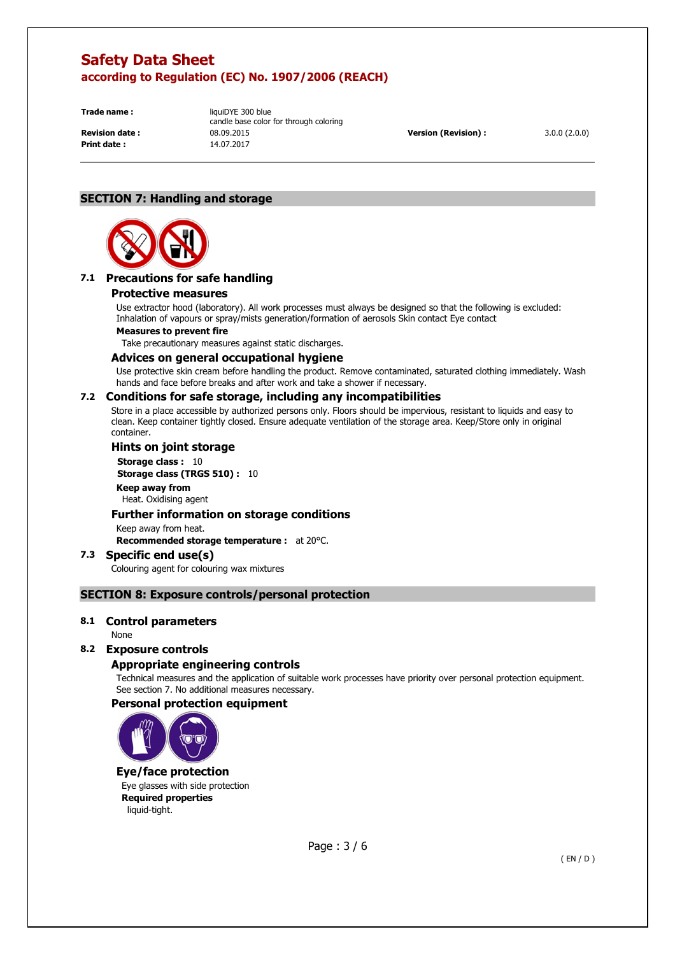**Print date :** 14.07.2017

**Trade name:** liquiDYE 300 blue candle base color for through coloring **Revision date :** 08.09.2015 **Version (Revision) :** 3.0.0 (2.0.0)

# **SECTION 7: Handling and storage**



## **7.1 Precautions for safe handling**

#### **Protective measures**

Use extractor hood (laboratory). All work processes must always be designed so that the following is excluded: Inhalation of vapours or spray/mists generation/formation of aerosols Skin contact Eye contact

#### **Measures to prevent fire**

Take precautionary measures against static discharges.

#### **Advices on general occupational hygiene**

Use protective skin cream before handling the product. Remove contaminated, saturated clothing immediately. Wash hands and face before breaks and after work and take a shower if necessary.

## **7.2 Conditions for safe storage, including any incompatibilities**

Store in a place accessible by authorized persons only. Floors should be impervious, resistant to liquids and easy to clean. Keep container tightly closed. Ensure adequate ventilation of the storage area. Keep/Store only in original container.

#### **Hints on joint storage**

**Storage class : 10 Storage class (TRGS 510) :** 10 **Keep away from**  Heat. Oxidising agent

#### **Further information on storage conditions**

Keep away from heat.

**Recommended storage temperature :** at 20°C.

#### **7.3 Specific end use(s)**  Colouring agent for colouring wax mixtures

#### **SECTION 8: Exposure controls/personal protection**

#### **8.1 Control parameters**

None

#### **8.2 Exposure controls**

#### **Appropriate engineering controls**

Technical measures and the application of suitable work processes have priority over personal protection equipment. See section 7. No additional measures necessary.

#### **Personal protection equipment**



#### **Eye/face protection**

Eye glasses with side protection **Required properties**  liquid-tight.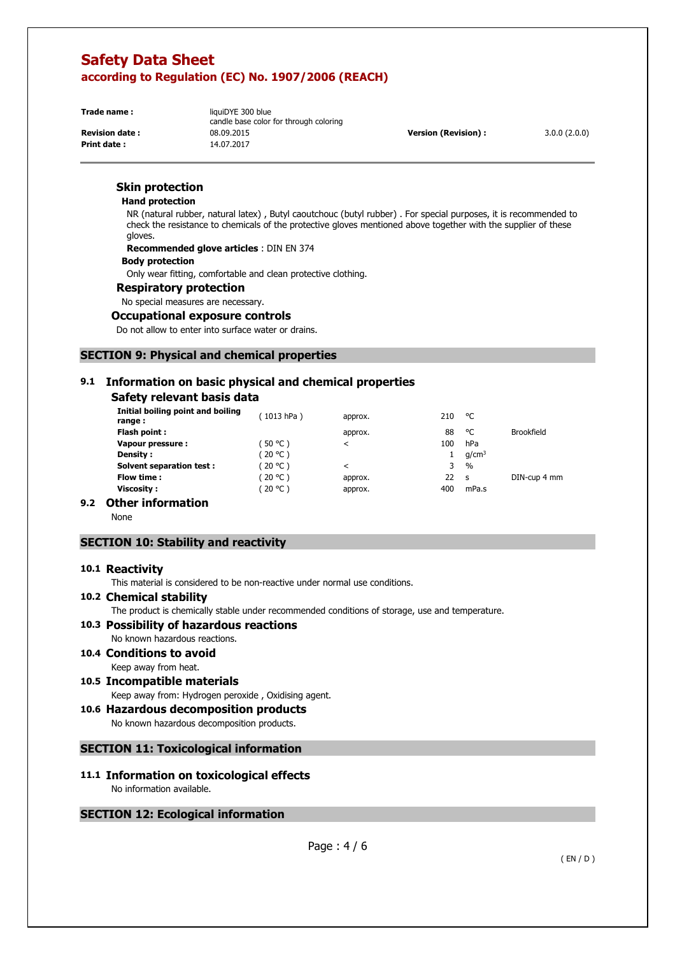**Print date :** 14.07.2017

**Trade name:** liquiDYE 300 blue candle base color for through coloring **Revision date :** 08.09.2015 **Version (Revision) :** 3.0.0 (2.0.0)

## **Skin protection**

#### **Hand protection**

NR (natural rubber, natural latex) , Butyl caoutchouc (butyl rubber) . For special purposes, it is recommended to check the resistance to chemicals of the protective gloves mentioned above together with the supplier of these gloves.

**Recommended glove articles** : DIN EN 374

#### **Body protection**

Only wear fitting, comfortable and clean protective clothing.

#### **Respiratory protection**

No special measures are necessary.

#### **Occupational exposure controls**

Do not allow to enter into surface water or drains.

#### **SECTION 9: Physical and chemical properties**

## **9.1 Information on basic physical and chemical properties**

## **Safety relevant basis data**

| Initial boiling point and boiling<br>range: | (1013 hPa) | approx. | 210 | °C                |                   |
|---------------------------------------------|------------|---------|-----|-------------------|-------------------|
| Flash point:                                |            | approx. | 88  | ۰c                | <b>Brookfield</b> |
| Vapour pressure:                            | $50 °C$ )  | ≺       | 100 | hPa               |                   |
| <b>Density:</b>                             | (20 °C )   |         |     | q/cm <sup>3</sup> |                   |
| <b>Solvent separation test:</b>             | (20 °C )   | $\,<\,$ | 3   | $\frac{0}{0}$     |                   |
| Flow time :                                 | 20 °C )    | approx. | 22  | <b>S</b>          | DIN-cup 4 mm      |
| Viscosity :                                 | (20 °C )   | approx. | 400 | mPa.s             |                   |
| .<br>- -                                    |            |         |     |                   |                   |

## **9.2 Other information**

None

## **SECTION 10: Stability and reactivity**

#### **10.1 Reactivity**

This material is considered to be non-reactive under normal use conditions.

#### **10.2 Chemical stability**

The product is chemically stable under recommended conditions of storage, use and temperature.

## **10.3 Possibility of hazardous reactions**

No known hazardous reactions.

- **10.4 Conditions to avoid**  Keep away from heat.
- **10.5 Incompatible materials**  Keep away from: Hydrogen peroxide , Oxidising agent.

# **10.6 Hazardous decomposition products**

No known hazardous decomposition products.

#### **SECTION 11: Toxicological information**

#### **11.1 Information on toxicological effects**  No information available.

#### **SECTION 12: Ecological information**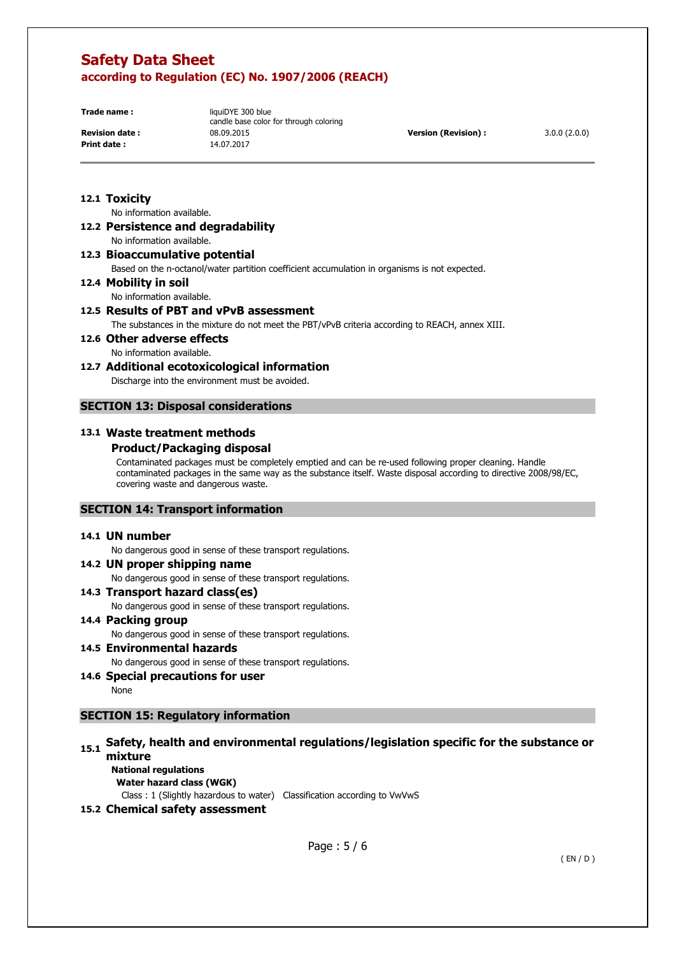**Print date :** 14.07.2017

**Trade name:** liquiDYE 300 blue candle base color for through coloring **Revision date :** 08.09.2015 **Version (Revision) :** 3.0.0 (2.0.0)

## **12.1 Toxicity**

No information available.

**12.2 Persistence and degradability**  No information available.

**12.3 Bioaccumulative potential** 

Based on the n-octanol/water partition coefficient accumulation in organisms is not expected.

**12.4 Mobility in soil** 

No information available.

# **12.5 Results of PBT and vPvB assessment**

The substances in the mixture do not meet the PBT/vPvB criteria according to REACH, annex XIII.

**12.6 Other adverse effects**  No information available.

## **12.7 Additional ecotoxicological information**

Discharge into the environment must be avoided.

## **SECTION 13: Disposal considerations**

## **13.1 Waste treatment methods**

## **Product/Packaging disposal**

Contaminated packages must be completely emptied and can be re-used following proper cleaning. Handle contaminated packages in the same way as the substance itself. Waste disposal according to directive 2008/98/EC, covering waste and dangerous waste.

#### **SECTION 14: Transport information**

#### **14.1 UN number**

No dangerous good in sense of these transport regulations.

## **14.2 UN proper shipping name**

No dangerous good in sense of these transport regulations.

#### **14.3 Transport hazard class(es)**

No dangerous good in sense of these transport regulations.

#### **14.4 Packing group**

No dangerous good in sense of these transport regulations.

- **14.5 Environmental hazards**  No dangerous good in sense of these transport regulations.
- **14.6 Special precautions for user**

None

## **SECTION 15: Regulatory information**

# **15.1 Safety, health and environmental regulations/legislation specific for the substance or mixture**

**National regulations Water hazard class (WGK)** 

Class : 1 (Slightly hazardous to water) Classification according to VwVwS

## **15.2 Chemical safety assessment**